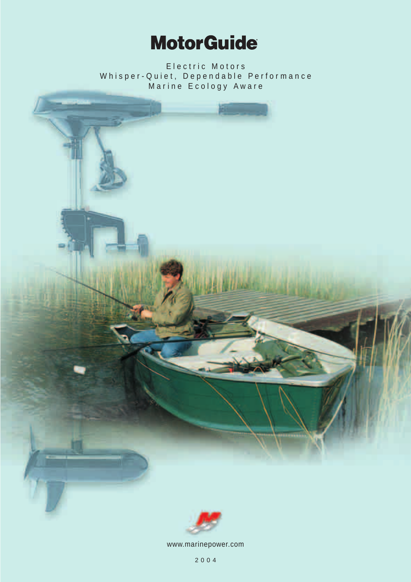## **MotorGuide**

Electric Motors Whisper-Quiet, Dependable Performance Marine Ecology Aware





www.marinepower.com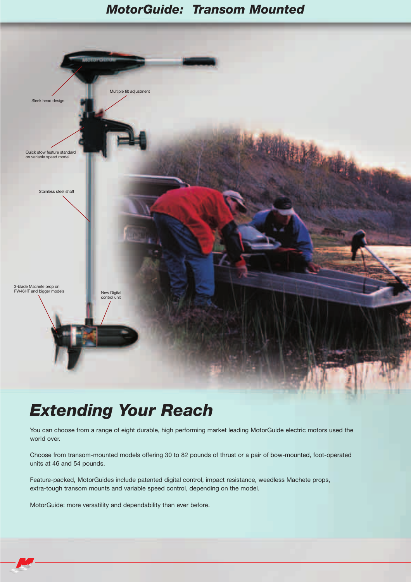#### *MotorGuide: Transom Mounted*



### *Extending Your Reach*

You can choose from a range of eight durable, high performing market leading MotorGuide electric motors used the world over.

Choose from transom-mounted models offering 30 to 82 pounds of thrust or a pair of bow-mounted, foot-operated units at 46 and 54 pounds.

Feature-packed, MotorGuides include patented digital control, impact resistance, weedless Machete props, extra-tough transom mounts and variable speed control, depending on the model.

MotorGuide: more versatility and dependability than ever before.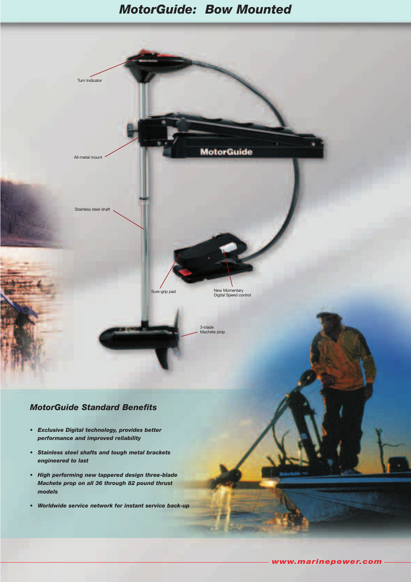#### *MotorGuide: Bow Mounted*



#### *MotorGuide Standard Benefits*

- *Exclusive Digital technology, provides better performance and improved reliability*
- *Stainless steel shafts and tough metal brackets engineered to last*
- *High performing new tappered design three-blade Machete prop on all 36 through 82 pound thrust models*
- *Worldwide service network for instant service back-up*